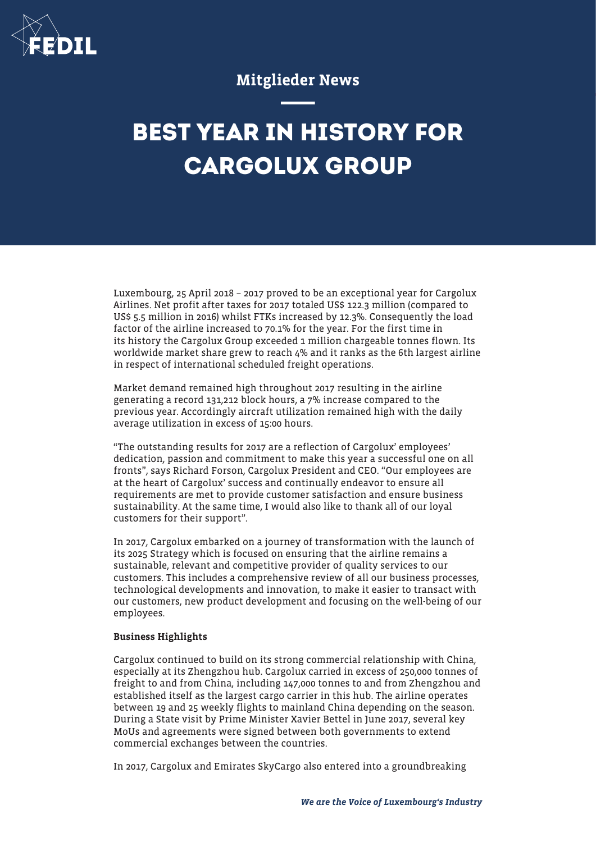

## Mitglieder News

# **BEST YEAR IN HISTORY FOR CARGOLUX GROUP**

Luxembourg, 25 April 2018 – 2017 proved to be an exceptional year for Cargolux Airlines. Net profit after taxes for 2017 totaled US\$ 122.3 million (compared to US\$ 5.5 million in 2016) whilst FTKs increased by 12.3%. Consequently the load factor of the airline increased to 70.1% for the year. For the first time in its history the Cargolux Group exceeded 1 million chargeable tonnes flown. Its worldwide market share grew to reach 4% and it ranks as the 6th largest airline in respect of international scheduled freight operations.

Market demand remained high throughout 2017 resulting in the airline generating a record 131,212 block hours, a 7% increase compared to the previous year. Accordingly aircraft utilization remained high with the daily average utilization in excess of 15:00 hours.

"The outstanding results for 2017 are a reflection of Cargolux' employees' dedication, passion and commitment to make this year a successful one on all fronts", says Richard Forson, Cargolux President and CEO. "Our employees are at the heart of Cargolux' success and continually endeavor to ensure all requirements are met to provide customer satisfaction and ensure business sustainability. At the same time, I would also like to thank all of our loyal customers for their support".

In 2017, Cargolux embarked on a journey of transformation with the launch of its 2025 Strategy which is focused on ensuring that the airline remains a sustainable, relevant and competitive provider of quality services to our customers. This includes a comprehensive review of all our business processes, technological developments and innovation, to make it easier to transact with our customers, new product development and focusing on the well-being of our employees.

#### Business Highlights

Cargolux continued to build on its strong commercial relationship with China, especially at its Zhengzhou hub. Cargolux carried in excess of 250,000 tonnes of freight to and from China, including 147,000 tonnes to and from Zhengzhou and established itself as the largest cargo carrier in this hub. The airline operates between 19 and 25 weekly flights to mainland China depending on the season. During a State visit by Prime Minister Xavier Bettel in June 2017, several key MoUs and agreements were signed between both governments to extend commercial exchanges between the countries.

In 2017, Cargolux and Emirates SkyCargo also entered into a groundbreaking